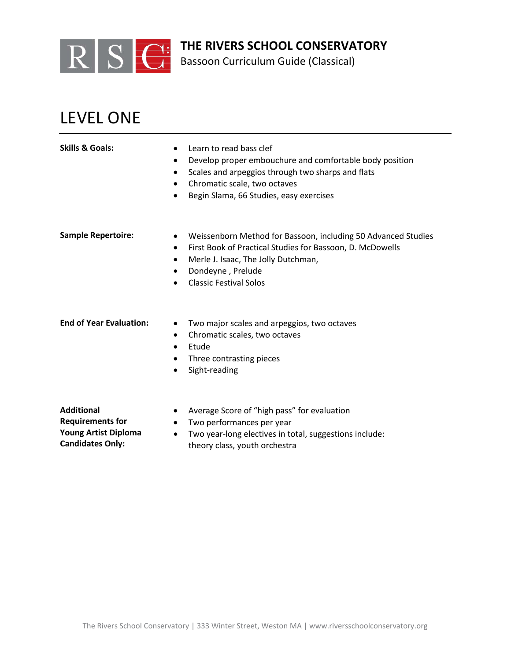

Bassoon Curriculum Guide (Classical)

# LEVEL ONE

| <b>Skills &amp; Goals:</b>     | Learn to read bass clef<br>Develop proper embouchure and comfortable body position<br>Scales and arpeggios through two sharps and flats<br>Chromatic scale, two octaves<br>$\bullet$<br>Begin Slama, 66 Studies, easy exercises                                |
|--------------------------------|----------------------------------------------------------------------------------------------------------------------------------------------------------------------------------------------------------------------------------------------------------------|
| <b>Sample Repertoire:</b>      | Weissenborn Method for Bassoon, including 50 Advanced Studies<br>$\bullet$<br>First Book of Practical Studies for Bassoon, D. McDowells<br>$\bullet$<br>Merle J. Isaac, The Jolly Dutchman,<br>$\bullet$<br>Dondeyne, Prelude<br><b>Classic Festival Solos</b> |
| <b>End of Year Evaluation:</b> | Two major scales and arpeggios, two octaves<br>$\bullet$<br>Chromatic scales, two octaves<br>Etude<br>$\bullet$<br>Three contrasting pieces<br>$\bullet$<br>Sight-reading                                                                                      |

**Additional Requirements for Young Artist Diploma Candidates Only:**

- Average Score of "high pass" for evaluation
- Two performances per year
- Two year-long electives in total, suggestions include: theory class, youth orchestra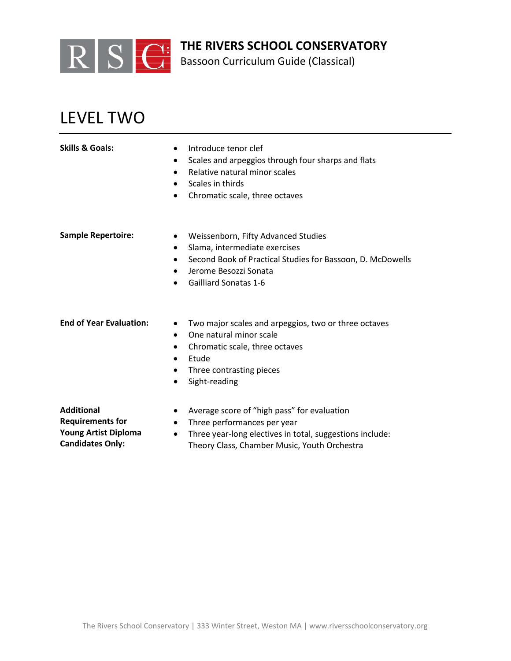

Bassoon Curriculum Guide (Classical)

# LEVEL TWO

|                          | Sc     |
|--------------------------|--------|
|                          | R      |
|                          | Sc     |
|                          | Cł     |
|                          |        |
|                          |        |
| <b>Imple Repertoire:</b> | W      |
|                          | $\sim$ |

- **Skills & Goals:** Introduce tenor clef
	- rales and arpeggios through four sharps and flats
	- elative natural minor scales
	- rales in thirds
	- hromatic scale, three octaves
- **Sample Repertoire:** Weissenborn, Fifty Advanced Studies
	- Slama, intermediate exercises
	- Second Book of Practical Studies for Bassoon, D. McDowells
	- Jerome Besozzi Sonata
	- Gailliard Sonatas 1-6

- **End of Year Evaluation:** Two major scales and arpeggios, two or three octaves
	- One natural minor scale
	- Chromatic scale, three octaves
	- Etude
	- Three contrasting pieces
	- Sight-reading

**Additional** 

### **Requirements for Young Artist Diploma**

- **Candidates Only:**
- Average score of "high pass" for evaluation
- Three performances per year
- Three year-long electives in total, suggestions include: Theory Class, Chamber Music, Youth Orchestra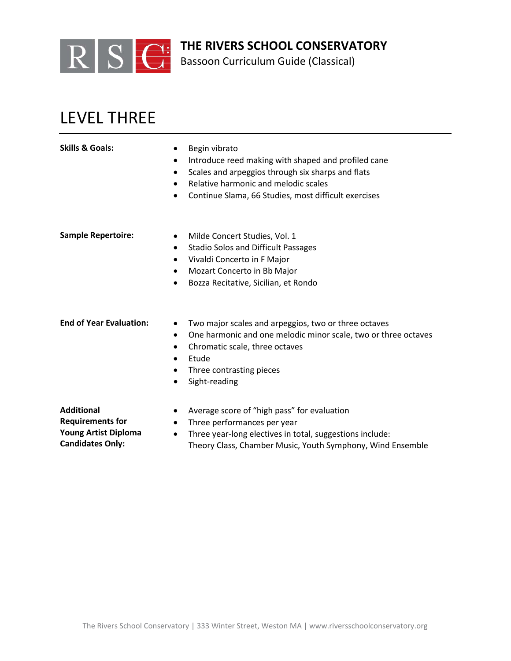

Bassoon Curriculum Guide (Classical)

## LEVEL THREE

| <b>Skills &amp; Goals:</b> | Begin vibrato                                             |  |  |
|----------------------------|-----------------------------------------------------------|--|--|
|                            | Introduce reed making with shaped and profiled cane       |  |  |
|                            | Scales and arpeggios through six sharps and flats<br>٠    |  |  |
|                            | Relative harmonic and melodic scales<br>٠                 |  |  |
|                            | Continue Slama, 66 Studies, most difficult exercises<br>٠ |  |  |
|                            |                                                           |  |  |
| <b>Sample Repertoire:</b>  | Milde Concert Studies, Vol. 1<br>٠                        |  |  |
|                            | Stadio Solos and Difficult Passages<br>٠                  |  |  |
|                            | Vivaldi Concerto in F Major<br>٠                          |  |  |
|                            | Mozart Concerto in Bb Major<br>٠                          |  |  |
|                            | Bozza Recitative, Sicilian, et Rondo<br>٠                 |  |  |
|                            |                                                           |  |  |
|                            |                                                           |  |  |

- **End of Year Evaluation:** Two major scales and arpeggios, two or three octaves
	- One harmonic and one melodic minor scale, two or three octaves
	- Chromatic scale, three octaves
	- Etude
	- Three contrasting pieces
	- Sight-reading

**Additional** 

**Requirements for** 

- Average score of "high pass" for evaluation
- Three performances per year
- Three year-long electives in total, suggestions include: Theory Class, Chamber Music, Youth Symphony, Wind Ensemble

**Young Artist Diploma Candidates Only:**